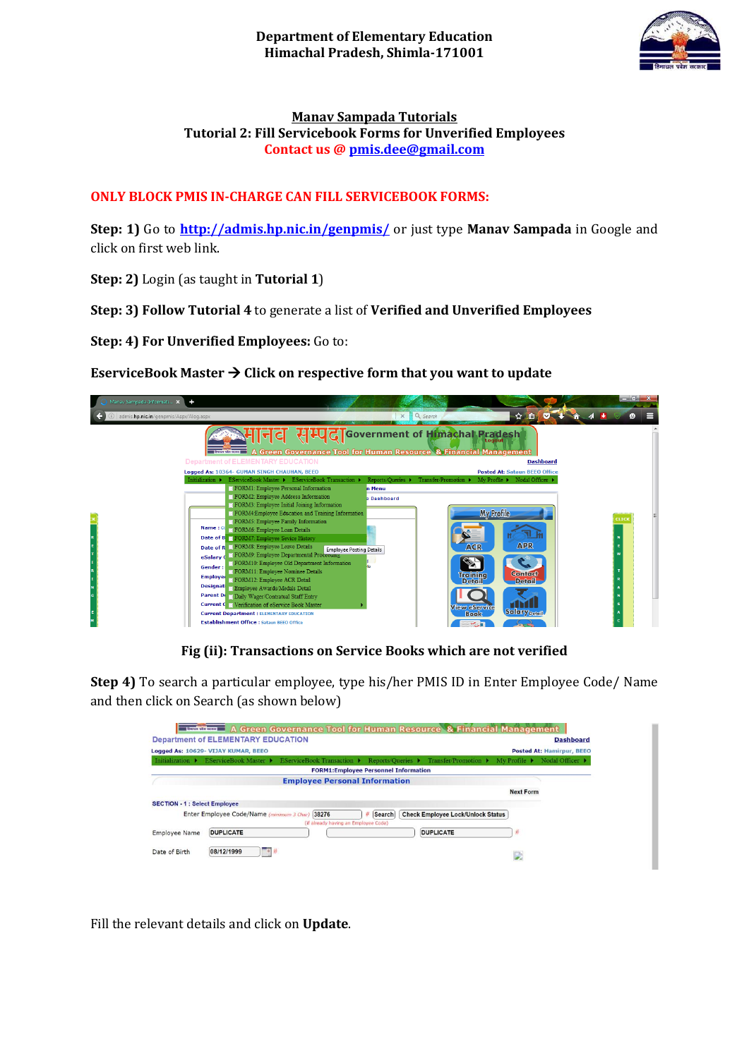

#### **Manav Sampada Tutorials Tutorial 2: Fill Servicebook Forms for Unverified Employees Contact us [@ pmis.dee@gmail.com](mailto:pmis.dee@gmail.com)**

## **ONLY BLOCK PMIS IN-CHARGE CAN FILL SERVICEBOOK FORMS:**

**Step: 1)** Go to **<http://admis.hp.nic.in/genpmis/>** or just type **Manav Sampada** in Google and click on first web link.

**Step: 2)** Login (as taught in **Tutorial 1**)

**Step: 3) Follow Tutorial 4** to generate a list of **Verified and Unverified Employees**

**Step: 4) For Unverified Employees:** Go to:

### **EserviceBook Master**  $\rightarrow$  **Click on respective form that you want to update**



## **Fig (ii): Transactions on Service Books which are not verified**

**Step 4)** To search a particular employee, type his/her PMIS ID in Enter Employee Code/ Name and then click on Search (as shown below)

|                                      |                                           | <b>Lookham</b> A Green Governance Tool for Human Resource & Financial Management |                                             |                                          |                                    |                                     |
|--------------------------------------|-------------------------------------------|----------------------------------------------------------------------------------|---------------------------------------------|------------------------------------------|------------------------------------|-------------------------------------|
|                                      | <b>Department of ELEMENTARY EDUCATION</b> |                                                                                  |                                             |                                          |                                    | <b>Dashboard</b>                    |
|                                      | Logged As: 10629- VIJAY KUMAR, BEEO       |                                                                                  |                                             |                                          |                                    | Posted At: Hamirpur, BEEO           |
| Initialization $\blacktriangleright$ | <b>EServiceBook Master ▶</b>              | EServiceBook Transaction ▶ Reports/Queries ▶ Transfer/Promotion ▶                |                                             |                                          | $Mv$ Profile $\blacktriangleright$ | Nodal Officer $\blacktriangleright$ |
|                                      |                                           |                                                                                  | <b>FORM1:Employee Personnel Information</b> |                                          |                                    |                                     |
|                                      |                                           | <b>Employee Personal Information</b>                                             |                                             |                                          |                                    |                                     |
|                                      |                                           |                                                                                  |                                             |                                          | <b>Next Form</b>                   |                                     |
| <b>SECTION - 1 : Select Employee</b> |                                           |                                                                                  |                                             |                                          |                                    |                                     |
|                                      | Enter Employee Code/Name (minimum 3 Char) | 38276<br>(if already having an Employee Code)                                    | # Search                                    | <b>Check Employee Lock/Unlock Status</b> |                                    |                                     |
| <b>Employee Name</b>                 | <b>DUPLICATE</b>                          |                                                                                  |                                             | <b>DUPLICATE</b>                         | #                                  |                                     |
| Date of Birth                        | 08/12/1999<br>9#                          |                                                                                  |                                             |                                          | D.                                 |                                     |

Fill the relevant details and click on **Update**.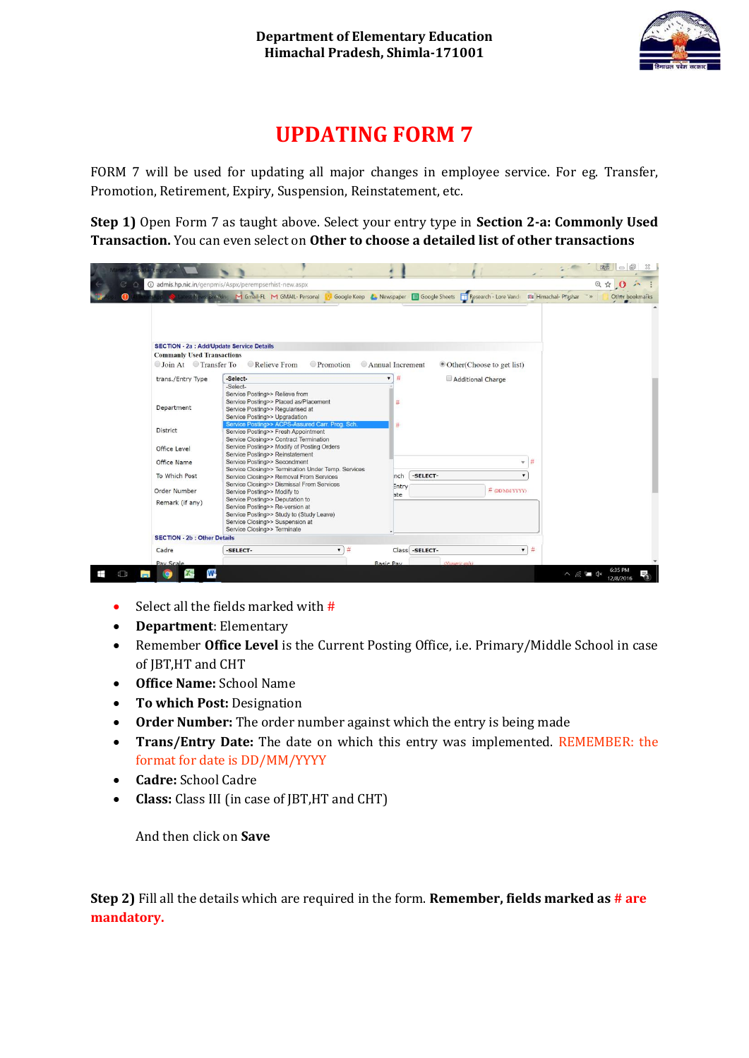

# **UPDATING FORM 7**

FORM 7 will be used for updating all major changes in employee service. For eg. Transfer, Promotion, Retirement, Expiry, Suspension, Reinstatement, etc.

**Step 1)** Open Form 7 as taught above. Select your entry type in **Section 2-a: Commonly Used Transaction.** You can even select on **Other to choose a detailed list of other transactions**

|                                                  | @ admis.hp.nic.in/genpmis/Aspx/perempserhist-new.aspx                                |                                                               | ◎ ☆ ◎ ♪                                     |
|--------------------------------------------------|--------------------------------------------------------------------------------------|---------------------------------------------------------------|---------------------------------------------|
|                                                  | Mews Breaking M Gmail-FL M GMAIL- Personal                                           | Google Keep & Newspaper E Google Sheets TResearch - Lore Vand | 000 Himachal- Prashar >><br>Other bookmarks |
|                                                  |                                                                                      |                                                               |                                             |
|                                                  |                                                                                      |                                                               |                                             |
|                                                  |                                                                                      |                                                               |                                             |
|                                                  |                                                                                      |                                                               |                                             |
| <b>SECTION - 2a : Add/Update Service Details</b> |                                                                                      |                                                               |                                             |
| <b>Commanly Used Transactions</b>                |                                                                                      |                                                               |                                             |
| Join At Transfer To                              | Relieve From<br>Promotion                                                            | Annual Increment<br>© Other(Choose to get list)               |                                             |
|                                                  |                                                                                      |                                                               |                                             |
| trans./Entry Type                                | -Select-                                                                             | #<br>Additional Charge                                        |                                             |
|                                                  | -Select-                                                                             |                                                               |                                             |
|                                                  | Service Posting>> Relieve from                                                       |                                                               |                                             |
|                                                  | Service Posting>> Placed as/Placement                                                | #                                                             |                                             |
| Department                                       | Service Posting>> Regularised at                                                     |                                                               |                                             |
|                                                  | Service Posting>> Upgradation                                                        |                                                               |                                             |
| District                                         | Service Posting>> ACPS-Assured Carr. Prog. Sch.                                      | #                                                             |                                             |
|                                                  | Service Posting>> Fresh Appointment                                                  |                                                               |                                             |
|                                                  | Service Closing>> Contract Termination<br>Service Posting>> Modify of Posting Orders |                                                               |                                             |
| Office Level                                     | Service Posting>> Reinstatement                                                      |                                                               |                                             |
| Office Name                                      | Service Posting>> Secondment                                                         | $-14$                                                         |                                             |
|                                                  | Service Closing>> Termination Under Temp. Services                                   |                                                               |                                             |
| To Which Post                                    | Service Closing>> Removal From Services                                              | -SELECT-<br>nch                                               |                                             |
|                                                  | Service Closing>> Dismissal From Services                                            | Entry                                                         |                                             |
| Order Number                                     | Service Posting>> Modify to                                                          | # (DDMMYYYY)<br>ate                                           |                                             |
| Remark (if any)                                  | Service Posting>> Deputation to                                                      |                                                               |                                             |
|                                                  | Service Posting>> Re-version at                                                      |                                                               |                                             |
|                                                  | Service Posting>> Study to (Study Leave)                                             |                                                               |                                             |
|                                                  | Service Closing>> Suspension at                                                      |                                                               |                                             |
|                                                  | Service Closing>> Terminate                                                          |                                                               |                                             |
| <b>SECTION - 2b : Other Details</b>              |                                                                                      |                                                               |                                             |
| Cadre                                            | $7 - 74$<br>-SELECT-                                                                 | $-1#$<br>Class -SELECT-                                       |                                             |
| Pay Scale                                        |                                                                                      | (Numeric oniv)<br><b>Basic Pay</b>                            |                                             |

- Select all the fields marked with  $#$
- **Department**: Elementary
- Remember **Office Level** is the Current Posting Office, i.e. Primary/Middle School in case of JBT,HT and CHT
- **Office Name:** School Name
- **To which Post:** Designation
- **Order Number:** The order number against which the entry is being made
- **Trans/Entry Date:** The date on which this entry was implemented. REMEMBER: the format for date is DD/MM/YYYY
- **Cadre:** School Cadre
- **Class:** Class III (in case of JBT,HT and CHT)

And then click on **Save**

**Step 2)** Fill all the details which are required in the form. **Remember, fields marked as # are mandatory.**